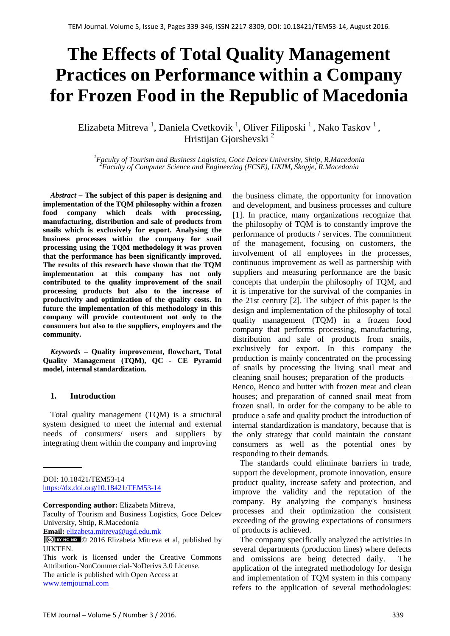# **The Effects of Total Quality Management Practices on Performance within a Company for Frozen Food in the Republic of Macedonia**

Elizabeta Mitreva<sup>1</sup>, Daniela Cvetkovik<sup>1</sup>, Oliver Filiposki<sup>1</sup>, Nako Taskov<sup>1</sup>, Hristijan Giorshevski<sup>2</sup>

*1 Faculty of Tourism and Business Logistics, Goce Delcev University, Shtip, R.Macedonia 2 Faculty of Computer Science and Engineering (FCSE), UKIM, Skopje, R.Macedonia* 

*Abstract* **– The subject of this paper is designing and implementation of the TQM philosophy within a frozen food company which deals with processing. food company which deals with processing, manufacturing, distribution and sale of products from snails which is exclusively for export. Analysing the business processes within the company for snail processing using the TQM methodology it was proven that the performance has been significantly improved. The results of this research have shown that the TQM implementation at this company has not only contributed to the quality improvement of the snail processing products but also to the increase of productivity and optimization of the quality costs. In future the implementation of this methodology in this company will provide contentment not only to the consumers but also to the suppliers, employers and the community.** 

*Keywords* **– Quality improvement, flowchart, Total Quality Management (TQM), QC - CE Pyramid model, internal standardization.**

#### **1. Introduction**

Total quality management (TQM) is a structural system designed to meet the internal and external needs of consumers/ users and suppliers by integrating them within the company and improving

**Corresponding author:** Elizabeta Mitreva,

Faculty of Tourism and Business Logistics, Goce Delcev University, Shtip, R.Macedonia

**Email:** elizabeta.mitreva@ugd.edu.mk

the business climate, the opportunity for innovation and development, and business processes and culture [1]. In practice, many organizations recognize that the philosophy of TQM is to constantly improve the performance of products / services. The commitment of the management, focusing on customers, the involvement of all employees in the processes, continuous improvement as well as partnership with suppliers and measuring performance are the basic concepts that underpin the philosophy of TQM, and it is imperative for the survival of the companies in the 21st century [2]. The subject of this paper is the design and implementation of the philosophy of total quality management (TQM) in a frozen food company that performs processing, manufacturing, distribution and sale of products from snails, exclusively for export. In this company the production is mainly concentrated on the processing of snails by processing the living snail meat and cleaning snail houses; preparation of the products – Renco, Renco and butter with frozen meat and clean houses; and preparation of canned snail meat from frozen snail. In order for the company to be able to produce a safe and quality product the introduction of internal standardization is mandatory, because that is the only strategy that could maintain the constant consumers as well as the potential ones by responding to their demands.

The standards could eliminate barriers in trade, support the development, promote innovation, ensure product quality, increase safety and protection, and improve the validity and the reputation of the company. By analyzing the company's business processes and their optimization the consistent exceeding of the growing expectations of consumers of products is achieved.

The company specifically analyzed the activities in several departments (production lines) where defects and omissions are being detected daily. The application of the integrated methodology for design and implementation of TQM system in this company refers to the application of several methodologies:

DOI: 10.18421/TEM53-14 <https://dx.doi.org/10.18421/TEM53-14>

<sup>© 2016</sup> Elizabeta Mitreva et al, published by UIKTEN.

This work is licensed under the Creative Commons Attribution-NonCommercial-NoDerivs 3.0 License. The article is published with Open Access at www.temjournal.com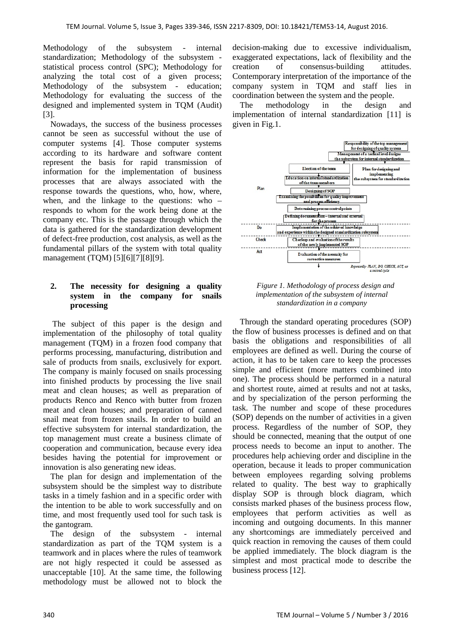Methodology of the subsystem - internal standardization; Methodology of the subsystem statistical process control (SPC); Methodology for analyzing the total cost of a given process; Methodology of the subsystem - education; Methodology for evaluating the success of the designed and implemented system in TQM (Audit) [3].

Nowadays, the success of the business processes cannot be seen as successful without the use of computer systems [4]. Those computer systems according to its hardware and software content represent the basis for rapid transmission of information for the implementation of business processes that are always associated with the response towards the questions, who, how, where, when, and the linkage to the questions: who – responds to whom for the work being done at the company etc. This is the passage through which the data is gathered for the standardization development of defect-free production, cost analysis, as well as the fundamental pillars of the system with total quality management (TQM) [5][6][7][8][9].

### **2. The necessity for designing a quality system in the company for snails processing**

The subject of this paper is the design and implementation of the philosophy of total quality management (TQM) in a frozen food company that performs processing, manufacturing, distribution and sale of products from snails, exclusively for export. The company is mainly focused on snails processing into finished products by processing the live snail meat and clean houses; as well as preparation of products Renco and Renco with butter from frozen meat and clean houses; and preparation of canned snail meat from frozen snails. In order to build an effective subsystem for internal standardization, the top management must create a business climate of cooperation and communication, because every idea besides having the potential for improvement or innovation is also generating new ideas.

The plan for design and implementation of the subsystem should be the simplest way to distribute tasks in a timely fashion and in a specific order with the intention to be able to work successfully and on time, and most frequently used tool for such task is the gantogram.

The design of the subsystem - internal standardization as part of the TQM system is a teamwork and in places where the rules of teamwork are not higly respected it could be assessed as unacceptable [10]. At the same time, the following methodology must be allowed not to block the

decision-making due to excessive individualism, exaggerated expectations, lack of flexibility and the creation of consensus-building attitudes. Contemporary interpretation of the importance of the company system in TQM and staff lies in coordination between the system and the people.

The methodology in the design and implementation of internal standardization [11] is given in Fig.1.



*Figure 1. Methodology of process design and implementation of the subsystem of internal standardization in a company*

Through the standard operating procedures (SOP) the flow of business processes is defined and on that basis the obligations and responsibilities of all employees are defined as well. During the course of action, it has to be taken care to keep the processes simple and efficient (more matters combined into one). The process should be performed in a natural and shortest route, aimed at results and not at tasks, and by specialization of the person performing the task. The number and scope of these procedures (SOP) depends on the number of activities in a given process. Regardless of the number of SOP, they should be connected, meaning that the output of one process needs to become an input to another. The procedures help achieving order and discipline in the operation, because it leads to proper communication between employees regarding solving problems related to quality. The best way to graphically display SOP is through block diagram, which consists marked phases of the business process flow, employees that perform activities as well as incoming and outgoing documents. In this manner any shortcomings are immediately perceived and quick reaction in removing the causes of them could be applied immediately. The block diagram is the simplest and most practical mode to describe the business process [12].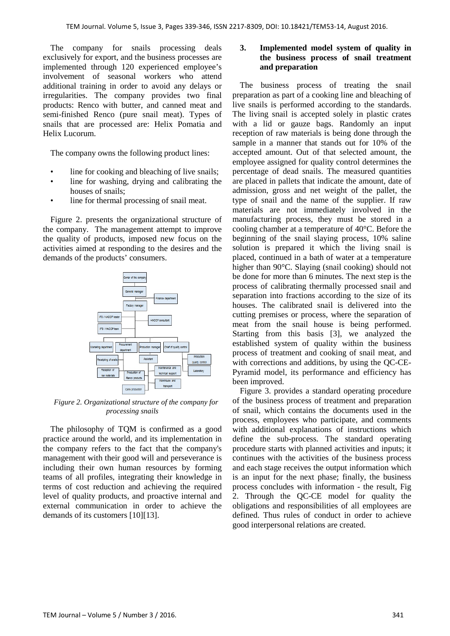The company for snails processing deals exclusively for export, and the business processes are implemented through 120 experienced employee's involvement of seasonal workers who attend additional training in order to avoid any delays or irregularities. The company provides two final products: Renco with butter, and canned meat and semi-finished Renco (pure snail meat). Types of snails that are processed are: Helix Pomatia and Helix Lucorum.

The company owns the following product lines:

- line for cooking and bleaching of live snails;
- line for washing, drying and calibrating the houses of snails;
- line for thermal processing of snail meat.

Figure 2. presents the organizational structure of the company. The management attempt to improve the quality of products, imposed new focus on the activities aimed at responding to the desires and the demands of the products' consumers.



*Figure 2. Organizational structure of the company for processing snails*

The philosophy of TQM is confirmed as a good practice around the world, and its implementation in the company refers to the fact that the company's management with their good will and perseverance is including their own human resources by forming teams of all profiles, integrating their knowledge in terms of cost reduction and achieving the required level of quality products, and proactive internal and external communication in order to achieve the demands of its customers [10][13].

### **3. Implemented model system of quality in the business process of snail treatment and preparation**

The business process of treating the snail preparation as part of a cooking line and bleaching of live snails is performed according to the standards. The living snail is accepted solely in plastic crates with a lid or gauze bags. Randomly an input reception of raw materials is being done through the sample in a manner that stands out for 10% of the accepted amount. Out of that selected amount, the employee assigned for quality control determines the percentage of dead snails. The measured quantities are placed in pallets that indicate the amount, date of admission, gross and net weight of the pallet, the type of snail and the name of the supplier. If raw materials are not immediately involved in the manufacturing process, they must be stored in a cooling chamber at a temperature of 40°C. Before the beginning of the snail slaying process, 10% saline solution is prepared it which the living snail is placed, continued in a bath of water at a temperature higher than 90°C. Slaying (snail cooking) should not be done for more than 6 minutes. The next step is the process of calibrating thermally processed snail and separation into fractions according to the size of its houses. The calibrated snail is delivered into the cutting premises or process, where the separation of meat from the snail house is being performed. Starting from this basis [3], we analyzed the established system of quality within the business process of treatment and cooking of snail meat, and with corrections and additions, by using the QC-CE-Pyramid model, its performance and efficiency has been improved.

Figure 3. provides a standard operating procedure of the business process of treatment and preparation of snail, which contains the documents used in the process, employees who participate, and comments with additional explanations of instructions which define the sub-process. The standard operating procedure starts with planned activities and inputs; it continues with the activities of the business process and each stage receives the output information which is an input for the next phase; finally, the business process concludes with information - the result, Fig 2. Through the QC-CE model for quality the obligations and responsibilities of all employees are defined. Thus rules of conduct in order to achieve good interpersonal relations are created.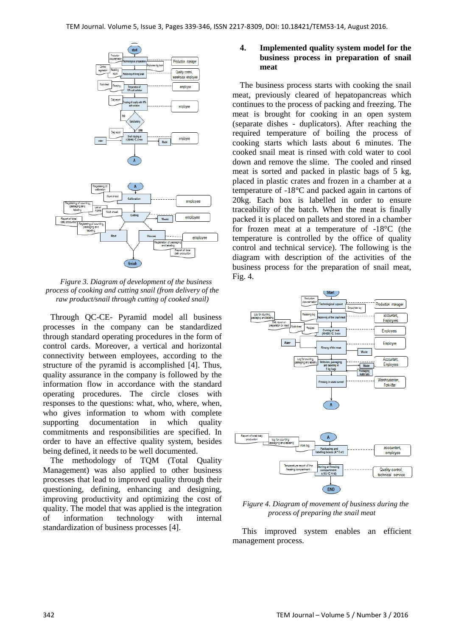

*Figure 3. Diagram of development of the business process of cooking and cutting snail (from delivery of the raw product/snail through cutting of cooked snail)*

Through QC-CE- Pyramid model all business processes in the company can be standardized through standard operating procedures in the form of control cards. Moreover, a vertical and horizontal connectivity between employees, according to the structure of the pyramid is accomplished [4]. Thus, quality assurance in the company is followed by the information flow in accordance with the standard operating procedures. The circle closes with responses to the questions: what, who, where, when, who gives information to whom with complete supporting documentation in which quality commitments and responsibilities are specified. In order to have an effective quality system, besides being defined, it needs to be well documented.

The methodology of TQM (Total Quality Management) was also applied to other business processes that lead to improved quality through their questioning, defining, enhancing and designing, improving productivity and optimizing the cost of quality. The model that was applied is the integration of information technology with internal standardization of business processes [4].

### **4. Implemented quality system model for the business process in preparation of snail meat**

The business process starts with cooking the snail meat, previously cleared of hepatopancreas which continues to the process of packing and freezing. The meat is brought for cooking in an open system (separate dishes - duplicators). After reaching the required temperature of boiling the process of cooking starts which lasts about 6 minutes. The cooked snail meat is rinsed with cold water to cool down and remove the slime. The cooled and rinsed meat is sorted and packed in plastic bags of 5 kg, placed in plastic crates and frozen in a chamber at a temperature of -18°C and packed again in cartons of 20kg. Each box is labelled in order to ensure traceability of the batch. When the meat is finally packed it is placed on pallets and stored in a chamber for frozen meat at a temperature of -18°C (the temperature is controlled by the office of quality control and technical service). The following is the diagram with description of the activities of the business process for the preparation of snail meat, Fig. 4.



*Figure 4. Diagram of movement of business during the process of preparing the snail meat*

END

This improved system enables an efficient management process.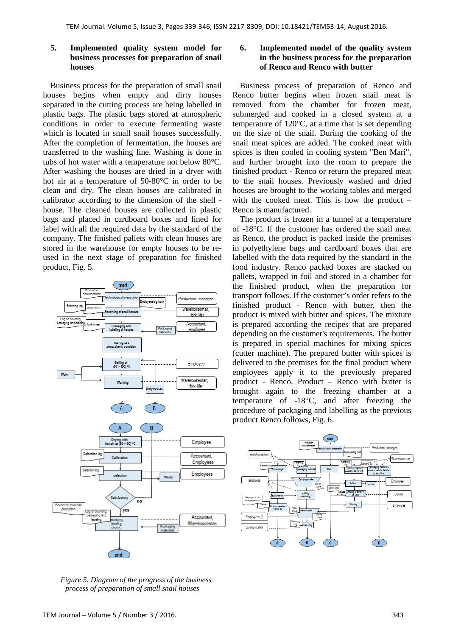#### **5. Implemented quality system model for business processes for preparation of snail houses**

Business process for the preparation of small snail houses begins when empty and dirty houses separated in the cutting process are being labelled in plastic bags. The plastic bags stored at atmospheric conditions in order to execute fermenting waste which is located in small snail houses successfully. After the completion of fermentation, the houses are transferred to the washing line. Washing is done in tubs of hot water with a temperature not below 80°C. After washing the houses are dried in a dryer with hot air at a temperature of 50-80°C in order to be clean and dry. The clean houses are calibrated in calibrator according to the dimension of the shell house. The cleaned houses are collected in plastic bags and placed in cardboard boxes and lined for label with all the required data by the standard of the company. The finished pallets with clean houses are stored in the warehouse for empty houses to be reused in the next stage of preparation for finished product, Fig. 5.



*Figure 5. Diagram of the progress of the business process of preparation of small snail houses*

### **6. Implemented model of the quality system in the business process for the preparation of Renco and Renco with butter**

Business process of preparation of Renco and Renco butter begins when frozen snail meat is removed from the chamber for frozen meat, submerged and cooked in a closed system at a temperature of 120°C, at a time that is set depending on the size of the snail. During the cooking of the snail meat spices are added. The cooked meat with spices is then cooled in cooling system "Ben Mari", and further brought into the room to prepare the finished product - Renco or return the prepared meat to the snail houses. Previously washed and dried houses are brought to the working tables and merged with the cooked meat. This is how the product – Renco is manufactured.

The product is frozen in a tunnel at a temperature of -18°C. If the customer has ordered the snail meat as Renco, the product is packed inside the premises in polyethylene bags and cardboard boxes that are labelled with the data required by the standard in the food industry. Renco packed boxes are stacked on pallets, wrapped in foil and stored in a chamber for the finished product, when the preparation for transport follows. If the customer's order refers to the finished product - Renco with butter, then the product is mixed with butter and spices. The mixture is prepared according the recipes that are prepared depending on the customer's requirements. The butter is prepared in special machines for mixing spices (cutter machine). The prepared butter with spices is delivered to the premises for the final product where employees apply it to the previously prepared product - Renco. Product – Renco with butter is brought again to the freezing chamber at a temperature of -18°C, and after freezing the procedure of packaging and labelling as the previous product Renco follows, Fig. 6.

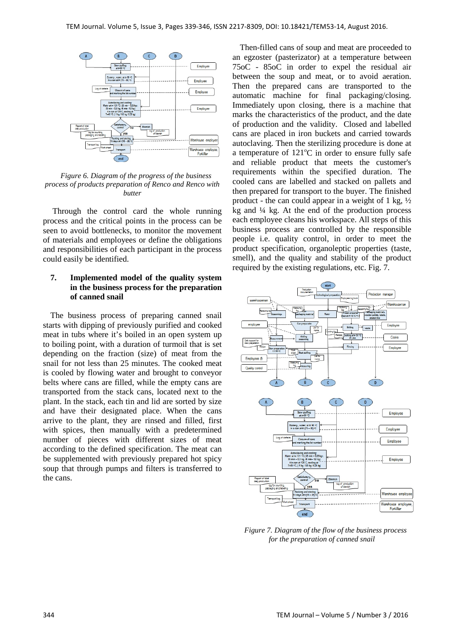

*Figure 6. Diagram of the progress of the business process of products preparation of Renco and Renco with butter*

Through the control card the whole running process and the critical points in the process can be seen to avoid bottlenecks, to monitor the movement of materials and employees or define the obligations and responsibilities of each participant in the process could easily be identified.

#### **7. Implemented model of the quality system in the business process for the preparation of canned snail**

The business process of preparing canned snail starts with dipping of previously purified and cooked meat in tubs where it's boiled in an open system up to boiling point, with a duration of turmoil that is set depending on the fraction (size) of meat from the snail for not less than 25 minutes. The cooked meat is cooled by flowing water and brought to conveyor belts where cans are filled, while the empty cans are transported from the stack cans, located next to the plant. In the stack, each tin and lid are sorted by size and have their designated place. When the cans arrive to the plant, they are rinsed and filled, first with spices, then manually with a predetermined number of pieces with different sizes of meat according to the defined specification. The meat can be supplemented with previously prepared hot spicy soup that through pumps and filters is transferred to the cans.

Then-filled cans of soup and meat are proceeded to an egzoster (pasterizator) at a temperature between 75oC - 85oC in order to expel the residual air between the soup and meat, or to avoid aeration. Then the prepared cans are transported to the automatic machine for final packaging/closing. Immediately upon closing, there is a machine that marks the characteristics of the product, and the date of production and the validity. Closed and labelled cans are placed in iron buckets and carried towards autoclaving. Then the sterilizing procedure is done at a temperature of  $121^{\circ}$ C in order to ensure fully safe and reliable product that meets the customer's requirements within the specified duration. The cooled cans are labelled and stacked on pallets and then prepared for transport to the buyer. The finished product - the can could appear in a weight of 1 kg,  $\frac{1}{2}$ kg and ¼ kg. At the end of the production process each employee cleans his workspace. All steps of this business process are controlled by the responsible people i.e. quality control, in order to meet the product specification, organoleptic properties (taste, smell), and the quality and stability of the product required by the existing regulations, etc. Fig. 7.



*Figure 7. Diagram of the flow of the business process for the preparation of canned snail*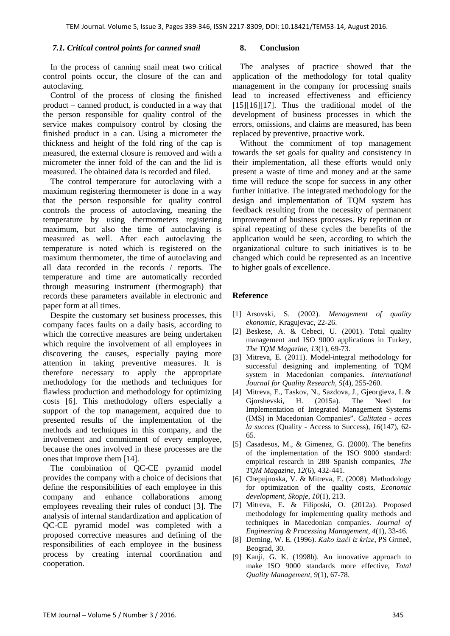#### *7.1. Critical control points for canned snail*

In the process of canning snail meat two critical control points occur, the closure of the can and autoclaving.

Control of the process of closing the finished product – canned product, is conducted in a way that the person responsible for quality control of the service makes compulsory control by closing the finished product in a can. Using a micrometer the thickness and height of the fold ring of the cap is measured, the external closure is removed and with a micrometer the inner fold of the can and the lid is measured. The obtained data is recorded and filed.

The control temperature for autoclaving with a maximum registering thermometer is done in a way that the person responsible for quality control controls the process of autoclaving, meaning the temperature by using thermometers registering maximum, but also the time of autoclaving is measured as well. After each autoclaving the temperature is noted which is registered on the maximum thermometer, the time of autoclaving and all data recorded in the records / reports. The temperature and time are automatically recorded through measuring instrument (thermograph) that records these parameters available in electronic and paper form at all times.

Despite the customary set business processes, this company faces faults on a daily basis, according to which the corrective measures are being undertaken which require the involvement of all employees in discovering the causes, especially paying more attention in taking preventive measures. It is therefore necessary to apply the appropriate methodology for the methods and techniques for flawless production and methodology for optimizing costs [6]. This methodology offers especially a support of the top management, acquired due to presented results of the implementation of the methods and techniques in this company, and the involvement and commitment of every employee, because the ones involved in these processes are the ones that improve them [14].

The combination of QC-CE pyramid model provides the company with a choice of decisions that define the responsibilities of each employee in this company and enhance collaborations among employees revealing their rules of conduct [3]. The analysis of internal standardization and application of QC-CE pyramid model was completed with a proposed corrective measures and defining of the responsibilities of each employee in the business process by creating internal coordination and cooperation.

#### **8. Conclusion**

The analyses of practice showed that the application of the methodology for total quality management in the company for processing snails lead to increased effectiveness and efficiency [15][16][17]. Thus the traditional model of the development of business processes in which the errors, omissions, and claims are measured, has been replaced by preventive, proactive work.

Without the commitment of top management towards the set goals for quality and consistency in their implementation, all these efforts would only present a waste of time and money and at the same time will reduce the scope for success in any other further initiative. The integrated methodology for the design and implementation of TQM system has feedback resulting from the necessity of permanent improvement of business processes. By repetition or spiral repeating of these cycles the benefits of the application would be seen, according to which the organizational culture to such initiatives is to be changed which could be represented as an incentive to higher goals of excellence.

## **Reference**

- [1] Arsovski, S. (2002). *Menagement of quality ekonomic*, Kragujevac, 22-26.
- [2] Beskese, A. & Cebeci, U. (2001). Total quality management and ISO 9000 applications in Turkey, *The TQM Magazine*, *13*(1), 69-73.
- [3] Mitreva, E. (2011). Model-integral methodology for successful designing and implementing of TQM system in Macedonian companies. *International Journal for Quality Research, 5*(4), 255-260.
- [4] Mitreva, E., Taskov, N., Sazdova, J., Gjeorgieva, I. & Gjorshevski, H. (2015a). The Need for Implementation of Integrated Management Systems (IMS) in Macedonian Companies". *Calitatea - acces la succes* (Quality - Access to Success), *16*(147), 62- 65.
- [5] Casadesus, M., & Gimenez, G. (2000). The benefits of the implementation of the ISO 9000 standard: empirical research in 288 Spanish companies, *The TQM Magazine*, *12*(6), 432-441.
- [6] Chepujnoska, V. & Mitreva, E. (2008). Methodology for optimization of the quality costs, *Economic development, Skopje, 10*(1), 213.
- [7] Mitreva, E. & Filiposki, O. (2012a). Proposed methodology for implementing quality methods and techniques in Macedonian companies. *Journal of Engineering & Processing Management*, *4*(1), 33-46.
- [8] Deming, W. E. (1996). *Kako izaći iz krize*, PS Grmeč, Beograd, 30.
- [9] Kanji, G. K. (1998b). An innovative approach to make ISO 9000 standards more effective, *Total Quality Management, 9*(1), 67-78.